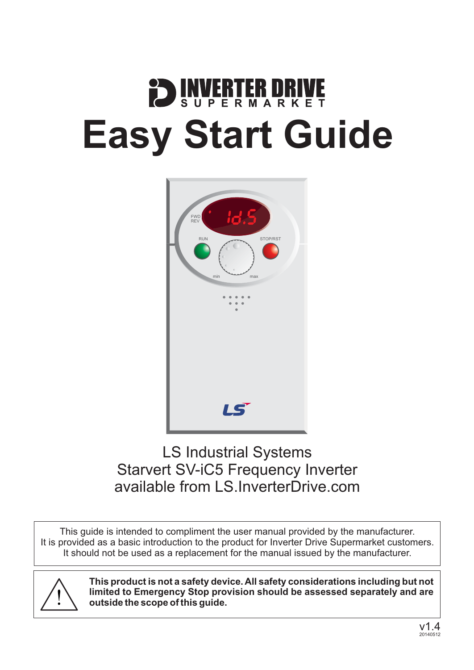# **DENVERTER DRIV Easy Start Guide**



### LS Industrial Systems Starvert SV-iC5 Frequency Inverter available from [LS.InverterDrive.com](http://ls.inverterdrive.com)

This guide is intended to compliment the user manual provided by the manufacturer. It is provided as a basic introduction to the product for Inverter Drive Supermarket customers. It should not be used as a replacement for the manual issued by the manufacturer.



**This product is not a safety device. All safety considerations including but not limited to Emergency Stop provision should be assessed separately and are outside the scope of this guide.**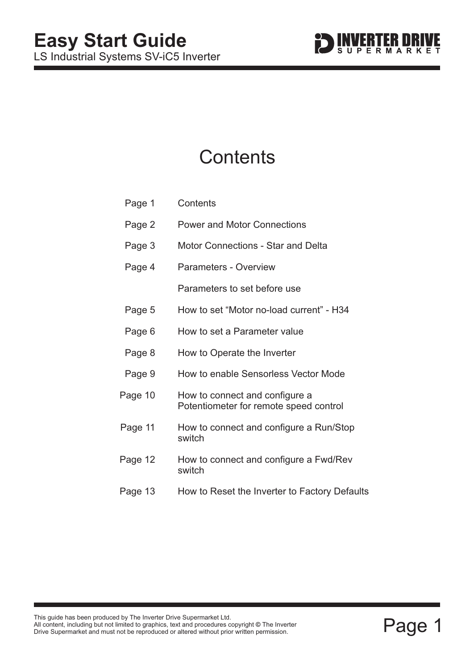### **Contents**

| Page 1  | Contents                                                                 |
|---------|--------------------------------------------------------------------------|
| Page 2  | <b>Power and Motor Connections</b>                                       |
| Page 3  | <b>Motor Connections - Star and Delta</b>                                |
| Page 4  | <b>Parameters - Overview</b>                                             |
|         | Parameters to set before use                                             |
| Page 5  | How to set "Motor no-load current" - H34                                 |
| Page 6  | How to set a Parameter value                                             |
| Page 8  | How to Operate the Inverter                                              |
| Page 9  | How to enable Sensorless Vector Mode                                     |
| Page 10 | How to connect and configure a<br>Potentiometer for remote speed control |
| Page 11 | How to connect and configure a Run/Stop<br>switch                        |
| Page 12 | How to connect and configure a Fwd/Rev<br>switch                         |
| Page 13 | How to Reset the Inverter to Factory Defaults                            |
|         |                                                                          |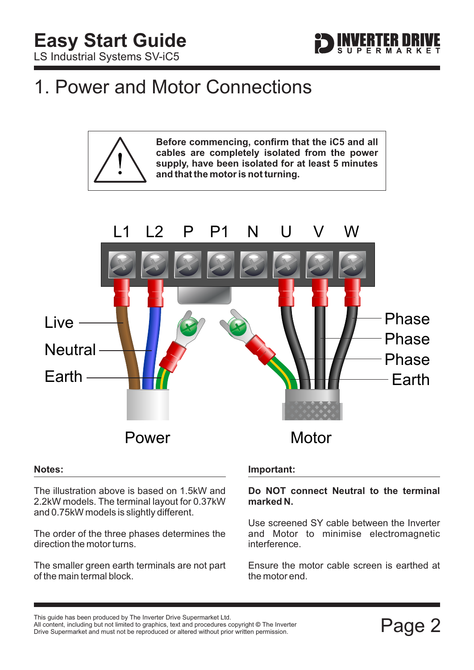

### <span id="page-2-0"></span>1. Power and Motor Connections

**Before commencing, confirm that the iC5 and all cables are completely isolated from the power supply, have been isolated for at least 5 minutes and that the motor is not turning.**



#### **Notes:**

The illustration above is based on 1.5kW and 2.2kW models. The terminal layout for 0.37kW and 0.75kW models is slightly different.

The order of the three phases determines the direction the motor turns.

The smaller green earth terminals are not part of the main termal block.

### **Important:**

#### **Do NOT connect Neutral to the terminal marked N.**

Use screened SY cable between the Inverter and Motor to minimise electromagnetic interference.

Ensure the motor cable screen is earthed at the motor end.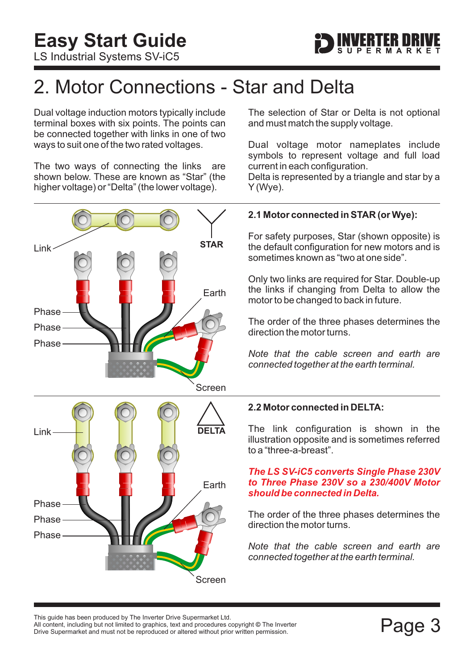

### <span id="page-3-0"></span>2. Motor Connections - Star and Delta

Dual voltage induction motors typically include terminal boxes with six points. The points can be connected together with links in one of two ways to suit one of the two rated voltages.

The two ways of connecting the links are shown below. These are known as "Star" (the higher voltage) or "Delta" (the lower voltage).



The selection of Star or Delta is not optional and must match the supply voltage.

Dual voltage motor nameplates include symbols to represent voltage and full load current in each configuration.

Delta is represented by a triangle and star by a Y (Wye).

### **2.1 Motor connected in STAR (or Wye):**

For safety purposes, Star (shown opposite) is the default configuration for new motors and is sometimes known as "two at one side".

Only two links are required for Star. Double-up the links if changing from Delta to allow the motor to be changed to back in future.

The order of the three phases determines the direction the motor turns.

*Note that the cable screen and earth are connected together at the earth terminal.*

#### **2.2 Motor connected in DELTA:**

The link configuration is shown in the illustration opposite and is sometimes referred to a "three-a-breast".

#### *The LS SV-iC5 converts Single Phase 230V to Three Phase 230V so a 230/400V Motor should be connected in Delta.*

The order of the three phases determines the direction the motor turns.

*Note that the cable screen and earth are connected together at the earth terminal.*

This guide has been produced by The Inverter Drive Supermarket Ltd.<br>All content, including but not limited to graphics, text and procedures copyright © The Inverter<br>Drive Supermarket and must not be reproduced or altered w All content, including but not limited to graphics, text and procedures copyright © The Inverter Drive Supermarket and must not be reproduced or altered without prior written permission.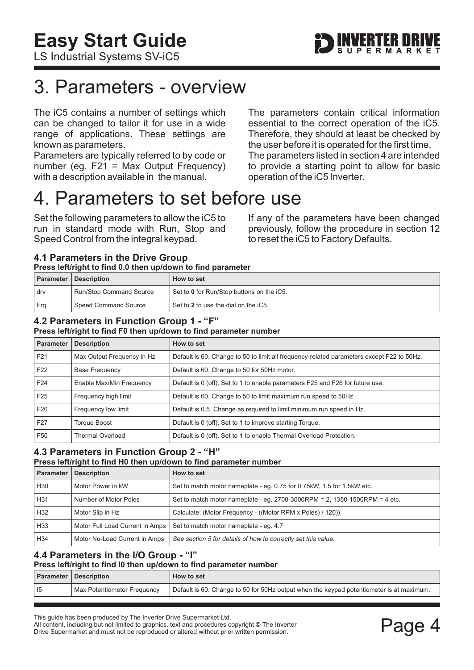# <span id="page-4-0"></span>3. Parameters - overview

The iC5 contains a number of settings which can be changed to tailor it for use in a wide range of applications. These settings are known as parameters.

Parameters are typically referred to by code or number (eg. F21 = Max Output Frequency) with a description available in the manual.

The parameters contain critical information essential to the correct operation of the iC5. Therefore, they should at least be checked by the user before it is operated for the first time. The parameters listed in section 4 are intended to provide a starting point to allow for basic operation of the iC5 Inverter.

### 4. Parameters to set before use

Set the following parameters to allow the iC5 to run in standard mode with Run, Stop and Speed Control from the integral keypad.

If any of the parameters have been changed previously, follow the procedure in [section 12](#page-13-0) to reset the iC5 to Factory Defaults.

### **4.1 Parameters in the Drive Group Press left/right to find 0.0 then up/down to find parameter**

|     | <b>Parameter   Description</b> | How to set                                |
|-----|--------------------------------|-------------------------------------------|
| drv | <b>Run/Stop Command Source</b> | Set to 0 for Run/Stop buttons on the iC5. |
| Fra | Speed Command Source           | Set to 2 to use the dial on the iC5.      |

#### **4.2 Parameters in Function Group 1 - "F" Press left/right to find F0 then up/down to find parameter number**

| <b>Parameter</b> | <b>Description</b>         | How to set                                                                                |
|------------------|----------------------------|-------------------------------------------------------------------------------------------|
| F <sub>21</sub>  | Max Output Frequency in Hz | Default is 60. Change to 50 to limit all frequency-related parameters except F22 to 50Hz. |
| F <sub>22</sub>  | <b>Base Frequency</b>      | Default is 60. Change to 50 for 50Hz motor.                                               |
| F <sub>24</sub>  | Enable Max/Min Frequency   | Default is 0 (off). Set to 1 to enable parameters F25 and F26 for future use.             |
| F <sub>25</sub>  | Frequency high limit       | Default is 60. Change to 50 to limit maximum run speed to 50Hz.                           |
| F <sub>26</sub>  | Frequency low limit        | Default is 0.5. Change as required to limit minimum run speed in Hz.                      |
| F <sub>27</sub>  | <b>Torque Boost</b>        | Default is 0 (off). Set to 1 to improve starting Torque.                                  |
| F <sub>50</sub>  | <b>Thermal Overload</b>    | Default is 0 (off). Set to 1 to enable Thermal Overload Protection.                       |

#### **4.3 Parameters in Function Group 2 - "H" Press left/right to find H0 then up/down to find parameter number**

| Press lettright to find no then up/down to find parameter number |                                 |                                                                            |
|------------------------------------------------------------------|---------------------------------|----------------------------------------------------------------------------|
| <b>Parameter</b>                                                 | <b>Description</b>              | How to set                                                                 |
| H30                                                              | Motor Power in kW               | Set to match motor nameplate - eq. 0.75 for 0.75 kW, 1.5 for 1.5 kW etc.   |
| H31                                                              | Number of Motor Poles           | Set to match motor nameplate - eq. 2700-3000RPM = 2, 1350-1500RPM = 4 etc. |
| H32                                                              | Motor Slip in Hz                | Calculate: (Motor Frequency - ((Motor RPM x Poles) / 120))                 |
| H <sub>33</sub>                                                  | Motor Full Load Current in Amps | Set to match motor nameplate - eq. 4.7                                     |
| H34                                                              | Motor No-Load Current in Amps   | See section 5 for details of how to correctly set this value.              |

#### **4.4 Parameters in the I/O Group - "I" Press left/right to find I0 then up/down to find parameter number**

| Press leithight to find it then up/down to find parameter number |                             |                                                                                          |
|------------------------------------------------------------------|-----------------------------|------------------------------------------------------------------------------------------|
|                                                                  | Parameter Description       | How to set                                                                               |
| 15                                                               | Max Potentiometer Frequency | Default is 60. Change to 50 for 50Hz output when the keypad potentiometer is at maximum. |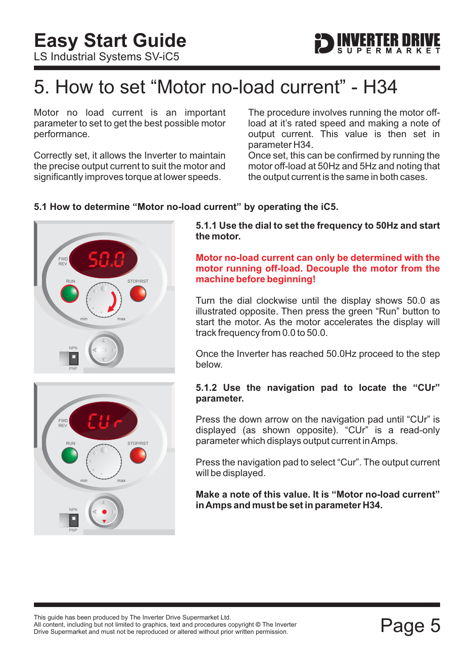### <span id="page-5-0"></span>5. How to set "Motor no-load current" - H34

Motor no load current is an important parameter to set to get the best possible motor performance.

Correctly set, it allows the Inverter to maintain the precise output current to suit the motor and significantly improves torque at lower speeds.

The procedure involves running the motor offload at it's rated speed and making a note of output current. This value is then set in parameter H34.

Once set, this can be confirmed by running the motor off-load at 50Hz and 5Hz and noting that the output current is the same in both cases.

### **5.1 How to determine "Motor no-load current" by operating the iC5.**



NPN PNP STOP/RST **FWD** REV min max

**5.1.1 Use the dial to set the frequency to 50Hz and start the motor.**

#### **Motor no-load current can only be determined with the motor running off-load. Decouple the motor from the machine before beginning!**

Turn the dial clockwise until the display shows 50.0 as illustrated opposite. Then press the green "Run" button to start the motor. As the motor accelerates the display will track frequency from 0.0 to 50.0.

Once the Inverter has reached 50.0Hz proceed to the step below.

#### **5.1.2 Use the navigation pad to locate the "CUr" parameter.**

Press the down arrow on the navigation pad until "CUr" is displayed (as shown opposite). "CUr" is a read-only parameter which displays output current inAmps.

Press the navigation pad to select "Cur". The output current will be displayed.

**Make a note of this value. It is "Motor no-load current" inAmps and must be set in parameter H34.**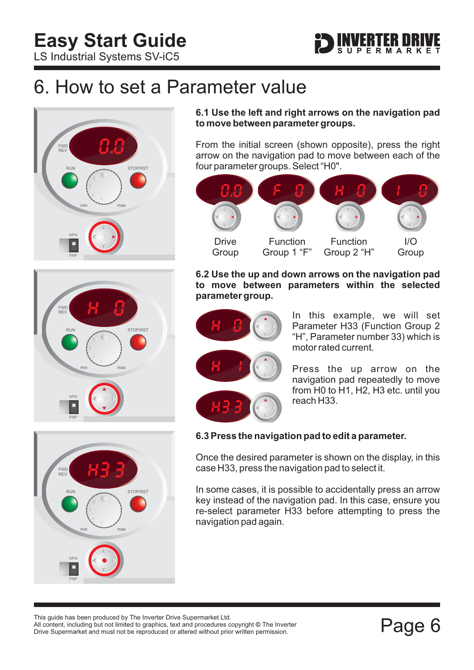

### <span id="page-6-0"></span>6. How to set a Parameter value





NPN PNP STOP/RST FWD REV min max

**6.1 Use the left and right arrows on the navigation pad to move between parameter groups.**

From the initial screen (shown opposite), press the right arrow on the navigation pad to move between each of the four parameter groups. Select "H0".



**6.2 Use the up and down arrows on the navigation pad to move between parameters within the selected parameter group.**



In this example, we will set Parameter H33 (Function Group 2 "H", Parameter number 33) which is motor rated current.

Press the up arrow on the navigation pad repeatedly to move from H0 to H1, H2, H3 etc. until you reach H33.

### **6.3 Press the navigation pad to edit a parameter.**

Once the desired parameter is shown on the display, in this case H33, press the navigation pad to select it.

In some cases, it is possible to accidentally press an arrow key instead of the navigation pad. In this case, ensure you re-select parameter H33 before attempting to press the navigation pad again.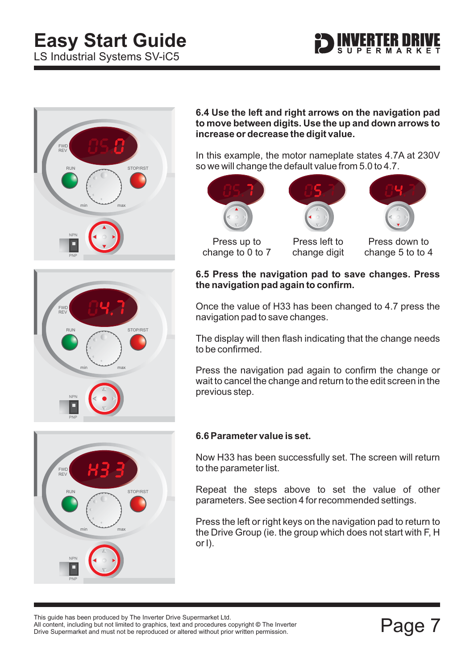# **Easy Start Guide**

LS Industrial Systems SV-iC5





RUN STOP/RST

min max

**6.4 Use the left and right arrows on the navigation pad to move between digits. Use the up and down arrows to increase or decrease the digit value.**

In this example, the motor nameplate states 4.7A at 230V so we will change the default value from 5.0 to 4.7.



Press up to change to 0 to 7

Press left to change digit



Press down to change 5 to to 4

### **6.5 Press the navigation pad to save changes. Press the navigation pad again to confirm.**

Once the value of H33 has been changed to 4.7 press the navigation pad to save changes.

The display will then flash indicating that the change needs to be confirmed.

Press the navigation pad again to confirm the change or wait to cancel the change and return to the edit screen in the previous step.



NPN

FWD REV

PNP

### **6.6 Parameter value is set.**

Now H33 has been successfully set. The screen will return to the parameter list.

Repeat the steps above to set the value of other parameters. See [section 4](#page-4-0) for recommended settings.

Press the left or right keys on the navigation pad to return to the Drive Group (ie. the group which does not start with F, H or I).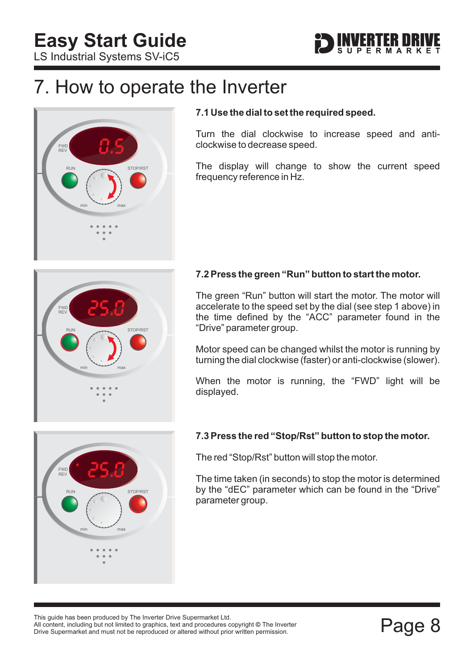

### <span id="page-8-0"></span>7. How to operate the Inverter



### **7.1 Use the dial to set the required speed.**

Turn the dial clockwise to increase speed and anticlockwise to decrease speed.

The display will change to show the current speed frequency reference in Hz.



### **7.2 Press the green "Run" button to start the motor.**

The green "Run" button will start the motor. The motor will accelerate to the speed set by the dial (see step 1 above) in the time defined by the "ACC" parameter found in the "Drive" parameter group.

Motor speed can be changed whilst the motor is running by turning the dial clockwise (faster) or anti-clockwise (slower).

When the motor is running, the "FWD" light will be displayed.



### **7.3 Press the red "Stop/Rst" button to stop the motor.**

The red "Stop/Rst" button will stop the motor.

The time taken (in seconds) to stop the motor is determined by the "dEC" parameter which can be found in the "Drive" parameter group.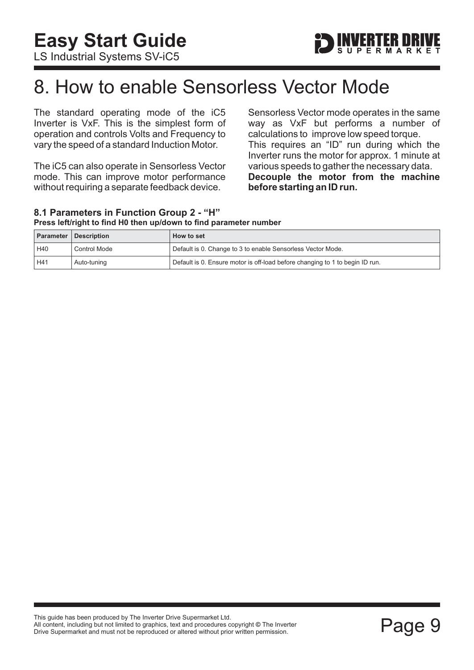### <span id="page-9-0"></span>8. How to enable Sensorless Vector Mode

The standard operating mode of the iC5 Inverter is VxF. This is the simplest form of operation and controls Volts and Frequency to vary the speed of a standard Induction Motor.

The iC5 can also operate in Sensorless Vector mode. This can improve motor performance without requiring a separate feedback device.

Sensorless Vector mode operates in the same way as VxF but performs a number of calculations to improve low speed torque. This requires an "ID" run during which the Inverter runs the motor for approx. 1 minute at various speeds to gather the necessary data. **Decouple the motor from the machine before starting an ID run.**

#### **8.1 Parameters in Function Group 2 - "H" Press left/right to find H0 then up/down to find parameter number**

|     | <b>Parameter Description</b> | How to set                                                                   |
|-----|------------------------------|------------------------------------------------------------------------------|
| H40 | <b>Control Mode</b>          | Default is 0. Change to 3 to enable Sensorless Vector Mode.                  |
| H41 | Auto-tuning                  | Default is 0. Ensure motor is off-load before changing to 1 to begin ID run. |

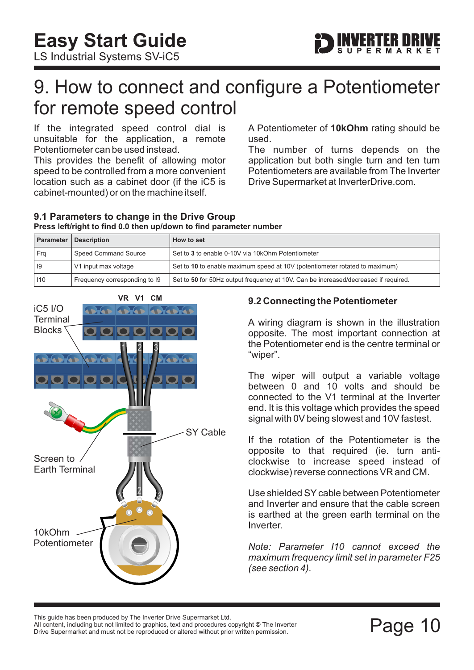

### <span id="page-10-0"></span>9. How to connect and configure a Potentiometer for remote speed control

If the integrated speed control dial is unsuitable for the application, a remote Potentiometer can be used instead.

This provides the benefit of allowing motor speed to be controlled from a more convenient location such as a cabinet door (if the iC5 is cabinet-mounted) or on the machine itself.

A Potentiometer of 10kOhm rating should be used.

The number of turns depends on the application but both single turn and ten turn Potentiometers are available from The Inverter Drive Supermarket at InverterDrive.com.

#### **9.1 Parameters to change in the Drive Group Press left/right to find 0.0 then up/down to find parameter number**

| <b>Parameter</b> | <b>Description</b>            | How to set                                                                          |
|------------------|-------------------------------|-------------------------------------------------------------------------------------|
| Fra              | Speed Command Source          | Set to 3 to enable 0-10V via 10kOhm Potentiometer                                   |
| 19               | V1 input max voltage          | Set to 10 to enable maximum speed at 10V (potentiometer rotated to maximum)         |
| 110              | Frequency corresponding to 19 | Set to 50 for 50Hz output frequency at 10V. Can be increased/decreased if required. |



### **9.2 Connecting the Potentiometer**

A wiring diagram is shown in the illustration opposite. The most important connection at the Potentiometer end is the centre terminal or "wiper".

The wiper will output a variable voltage between 0 and 10 volts and should be connected to the V1 terminal at the Inverter end. It is this voltage which provides the speed signal with 0V being slowest and 10V fastest.

If the rotation of the Potentiometer is the opposite to that required (ie. turn anticlockwise to increase speed instead of clockwise) reverse connections VR and CM.

Use shielded SY cable between Potentiometer and Inverter and ensure that the cable screen is earthed at the green earth terminal on the Inverter.

*Note: Parameter I10 cannot exceed the maximum frequency limit set in parameter F25 (see [section 4\)](#page-4-0).*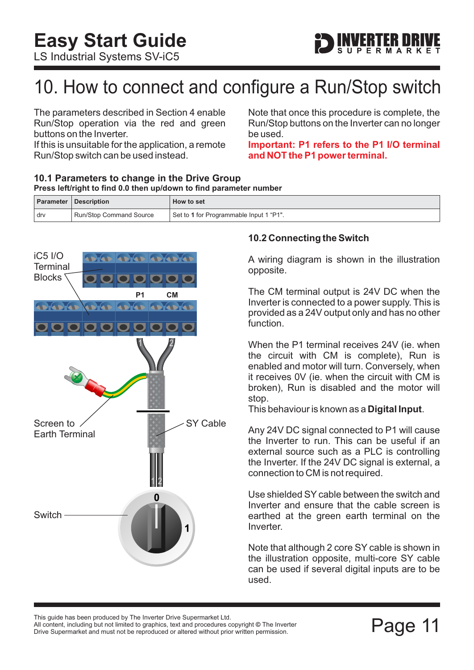# <span id="page-11-0"></span>10. How to connect and configure a Run/Stop switch

The parameters described in [Section 4](#page-4-0) enable Run/Stop operation via the red and green buttons on the Inverter.

If this is unsuitable for the application, a remote Run/Stop switch can be used instead.

Note that once this procedure is complete, the Run/Stop buttons on the Inverter can no longer be used.

**ERTER DRI** 

**Important: P1 refers to the P1 I/O terminal and NOT the P1 power terminal.**

#### **10.1 Parameters to change in the Drive Group Press left/right to find 0.0 then up/down to find parameter number**

|     | <b>Parameter   Description</b> | How to set                              |
|-----|--------------------------------|-----------------------------------------|
| drv | <b>Run/Stop Command Source</b> | Set to 1 for Programmable Input 1 "P1". |

### iC5 I/O ADIAD ADIAD ADIADIAN **Terminal** Blocks **CM P1** DADIA **ADIAN ADIADIAN**  $\bullet$   $\bullet$   $\bullet$   $\bullet$ 1 2 Screen to SY Cable Earth Terminal 1 2 Ω Switch

### **10.2 Connecting the Switch**

A wiring diagram is shown in the illustration opposite.

The CM terminal output is 24V DC when the Inverter is connected to a power supply. This is provided as a 24V output only and has no other function.

When the P1 terminal receives 24V (ie. when the circuit with CM is complete), Run is enabled and motor will turn. Conversely, when it receives 0V (ie. when the circuit with CM is broken), Run is disabled and the motor will stop.

This behaviour is known as a **Digital Input**.

Any 24V DC signal connected to P1 will cause the Inverter to run. This can be useful if an external source such as a PLC is controlling the Inverter. If the 24V DC signal is external, a connection to CM is not required.

Use shielded SY cable between the switch and Inverter and ensure that the cable screen is earthed at the green earth terminal on the Inverter.

Note that although 2 core SY cable is shown in the illustration opposite, multi-core SY cable can be used if several digital inputs are to be used.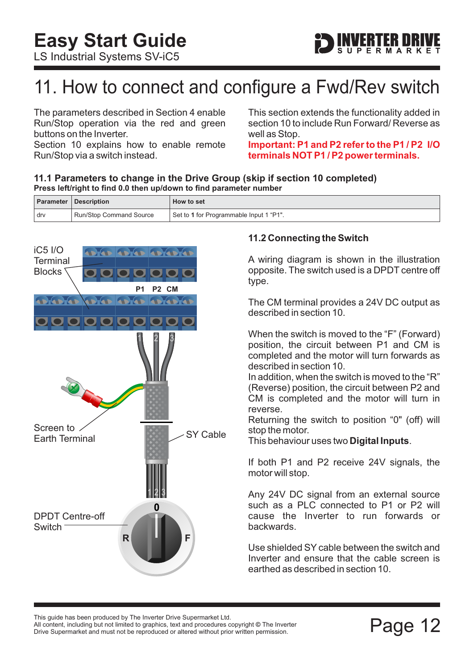# <span id="page-12-0"></span>11. How to connect and configure a Fwd/Rev switch

The parameters described in Section 4 enable Run/Stop operation via the red and green buttons on the Inverter.

[Section 10](#page-11-0) explains how to enable remote Run/Stop via a switch instead.

This section extends the functionality added in [section 10](#page-11-0) to include Run Forward/ Reverse as well as Stop.

**ERTER DRI** 

**Important: P1 and P2 refer to the P1 / P2 I/O terminals NOT P1 / P2 power terminals.**

#### **11.1 Parameters to change in the Drive Group (skip if [section 10](#page-11-0) completed) Press left/right to find 0.0 then up/down to find parameter number**

|     | <b>Parameter   Description</b> | How to set                              |
|-----|--------------------------------|-----------------------------------------|
| drv | <b>Run/Stop Command Source</b> | Set to 1 for Programmable Input 1 "P1". |



### **11.2 Connecting the Switch**

A wiring diagram is shown in the illustration opposite. The switch used is a DPDT centre off type.

The CM terminal provides a 24V DC output as described in [section 10.](#page-11-0)

When the switch is moved to the "F" (Forward) position, the circuit between P1 and CM is completed and the motor will turn forwards as described in [section 10.](#page-11-0)

In addition, when the switch is moved to the "R" (Reverse) position, the circuit between P2 and CM is completed and the motor will turn in reverse.

Returning the switch to position "0" (off) will stop the motor.

This behaviour uses two **Digital Inputs**.

If both P1 and P2 receive 24V signals, the motor will stop.

Any 24V DC signal from an external source such as a PLC connected to P1 or P2 will cause the Inverter to run forwards or backwards.

Use shielded SY cable between the switch and Inverter and ensure that the cable screen is earthed as described in [section 10.](#page-11-0)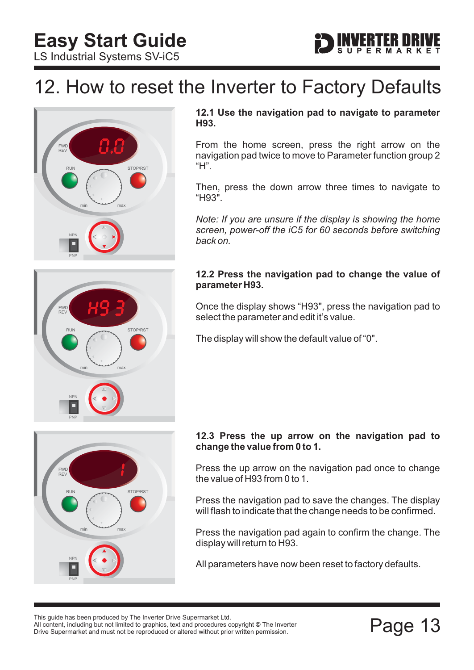<span id="page-13-0"></span>**Easy Start Guide**

LS Industrial Systems SV-iC5

# **ERTER DRI**

### 12. How to reset the Inverter to Factory Defaults



RUN STOP/RST

min max

### **12.1 Use the navigation pad to navigate to parameter H93.**

From the home screen, press the right arrow on the navigation pad twice to move to Parameter function group 2 "H".

Then, press the down arrow three times to navigate to "H93".

*Note: If you are unsure if the display is showing the home screen, power-off the iC5 for 60 seconds before switching back on.*

#### **12.2 Press the navigation pad to change the value of parameter H93.**

Once the display shows "H93", press the navigation pad to select the parameter and edit it's value.

The display will show the default value of "0".



NPN

FWD REV

PNP

### **12.3 Press the up arrow on the navigation pad to change the value from 0 to 1.**

Press the up arrow on the navigation pad once to change the value of H93 from 0 to 1.

Press the navigation pad to save the changes. The display will flash to indicate that the change needs to be confirmed.

Press the navigation pad again to confirm the change. The display will return to H93.

All parameters have now been reset to factory defaults.